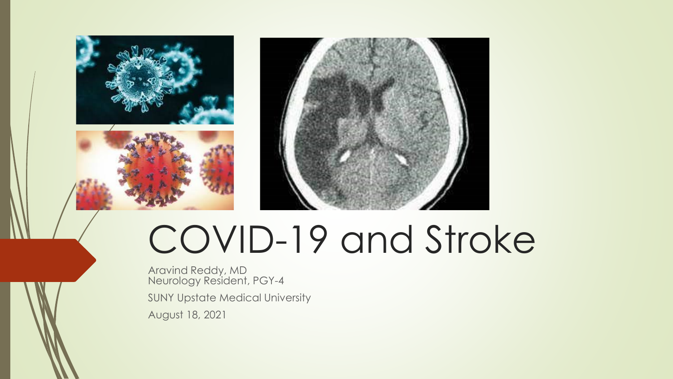





# COVID-19 and Stroke

Aravind Reddy, MD Neurology Resident, PGY-4 SUNY Upstate Medical University August 18, 2021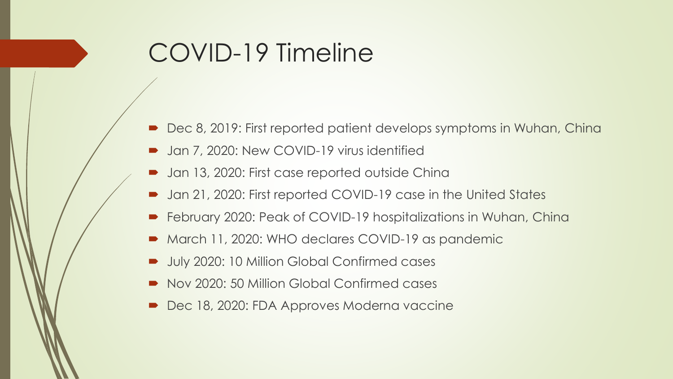### COVID-19 Timeline

- Dec 8, 2019: First reported patient develops symptoms in Wuhan, China
- **D** Jan 7, 2020: New COVID-19 virus identified
- Jan 13, 2020: First case reported outside China
- Jan 21, 2020: First reported COVID-19 case in the United States
- February 2020: Peak of COVID-19 hospitalizations in Wuhan, China
- March 11, 2020: WHO declares COVID-19 as pandemic
- July 2020: 10 Million Global Confirmed cases
- Nov 2020: 50 Million Global Confirmed cases
- Dec 18, 2020: FDA Approves Moderna vaccine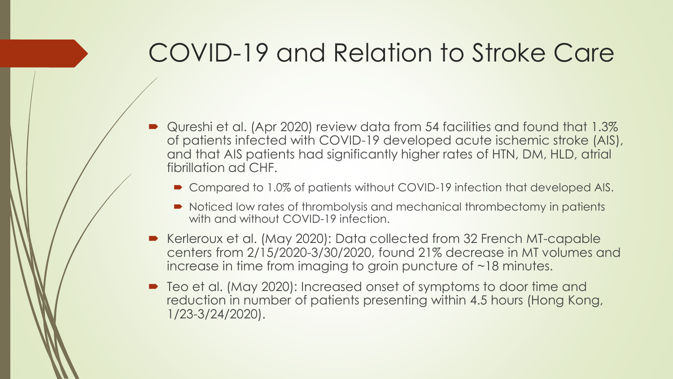#### COVID-19 and Relation to Stroke Care

- Qureshi et al. (Apr 2020) review data from 54 facilities and found that 1.3% of patients infected with COVID-19 developed acute ischemic stroke (AIS), and that AIS patients had significantly higher rates of HTN, DM, HLD, atrial fibrillation ad CHF.
	- Compared to 1.0% of patients without COVID-19 infection that developed AIS.
	- Noticed low rates of thrombolysis and mechanical thrombectomy in patients with and without COVID-19 infection.
- Kerleroux et al. (May 2020): Data collected from 32 French MT-capable centers from 2/15/2020-3/30/2020, found 21% decrease in MT volumes and increase in time from imaging to groin puncture of ~18 minutes.
- Teo et al. (May 2020): Increased onset of symptoms to door time and reduction in number of patients presenting within 4.5 hours (Hong Kong, 1/23-3/24/2020).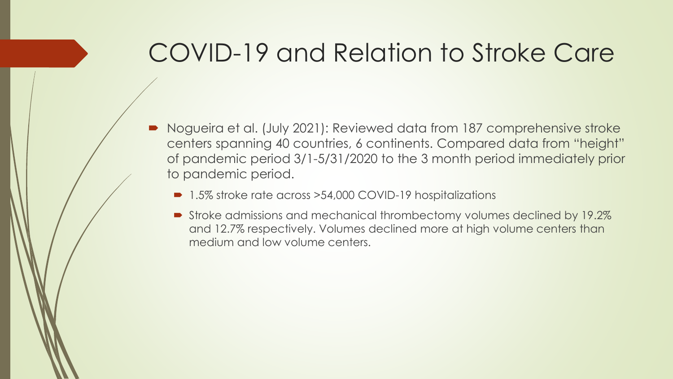#### COVID-19 and Relation to Stroke Care

- Nogueira et al. (July 2021): Reviewed data from 187 comprehensive stroke centers spanning 40 countries, 6 continents. Compared data from "height" of pandemic period 3/1-5/31/2020 to the 3 month period immediately prior to pandemic period.
	- 1.5% stroke rate across > 54,000 COVID-19 hospitalizations
	- Stroke admissions and mechanical thrombectomy volumes declined by 19.2% and 12.7% respectively. Volumes declined more at high volume centers than medium and low volume centers.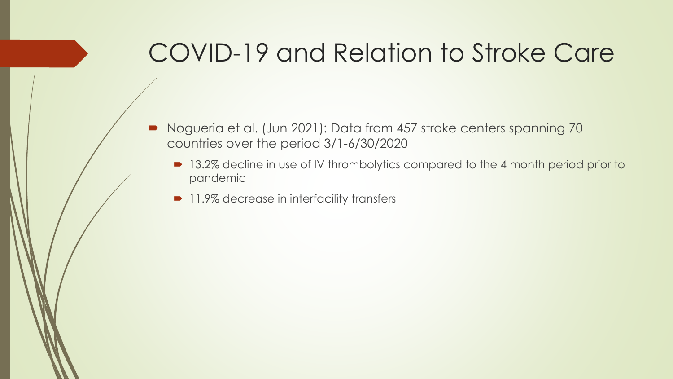### COVID-19 and Relation to Stroke Care

- Nogueria et al. (Jun 2021): Data from 457 stroke centers spanning 70 countries over the period 3/1-6/30/2020
	- 13.2% decline in use of IV thrombolytics compared to the 4 month period prior to pandemic
	- 11.9% decrease in interfacility transfers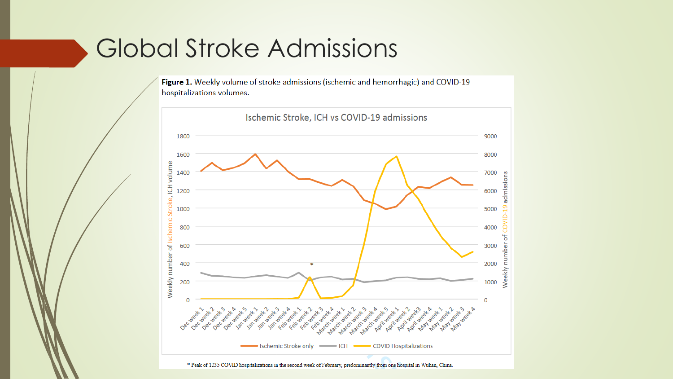#### Global Stroke Admissions

Figure 1. Weekly volume of stroke admissions (ischemic and hemorrhagic) and COVID-19 hospitalizations volumes.

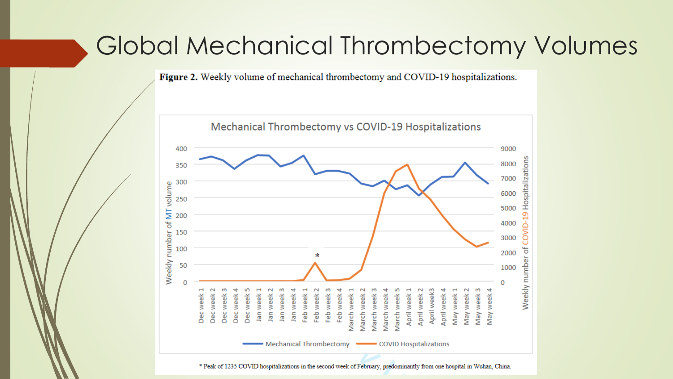#### Global Mechanical Thrombectomy Volumes

Figure 2. Weekly volume of mechanical thrombectomy and COVID-19 hospitalizations.

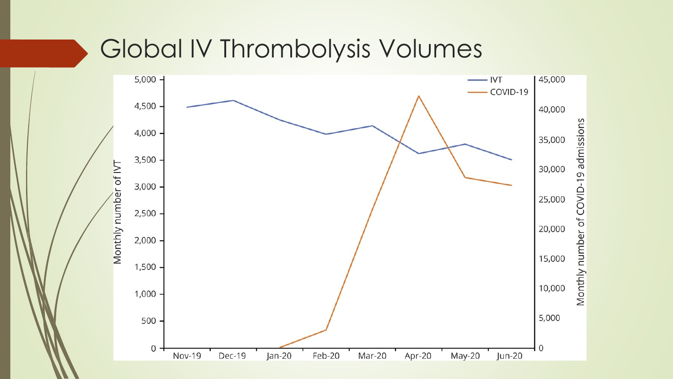#### Global IV Thrombolysis Volumes

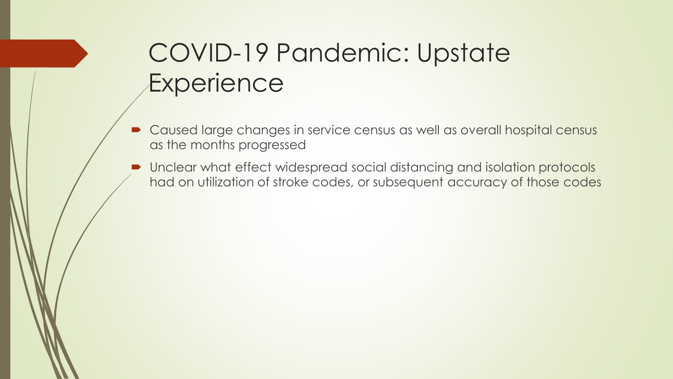### COVID-19 Pandemic: Upstate **Experience**

- Caused large changes in service census as well as overall hospital census as the months progressed
- Unclear what effect widespread social distancing and isolation protocols had on utilization of stroke codes, or subsequent accuracy of those codes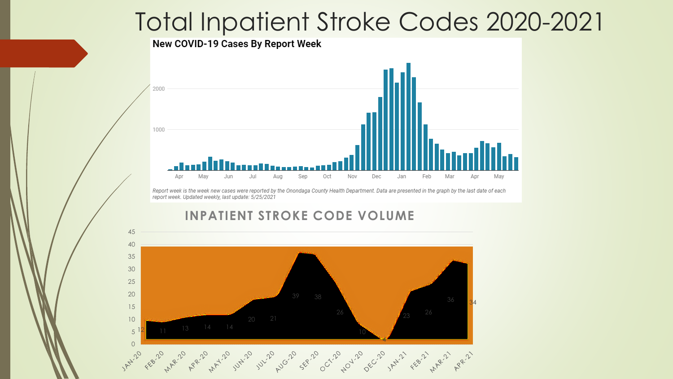#### Total Inpatient Stroke Codes 2020-2021

#### New COVID-19 Cases By Report Week



Report week is the week new cases were reported by the Onondaga County Health Department. Data are presented in the graph by the last date of each report week. Updated weekly, last update: 5/25/2021

#### **INPATIENT STROKE CODE VOLUME**

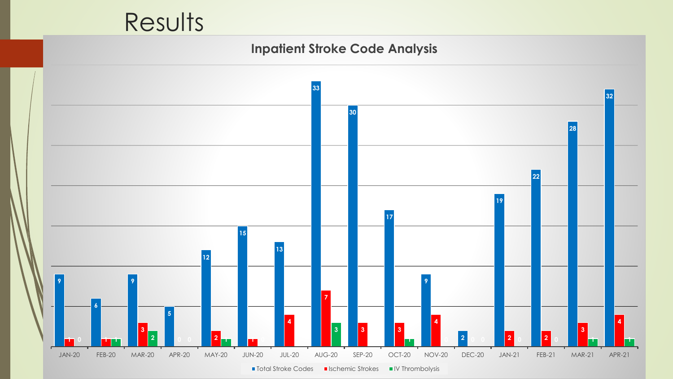## Results

#### **Inpatient Stroke Code Analysis**

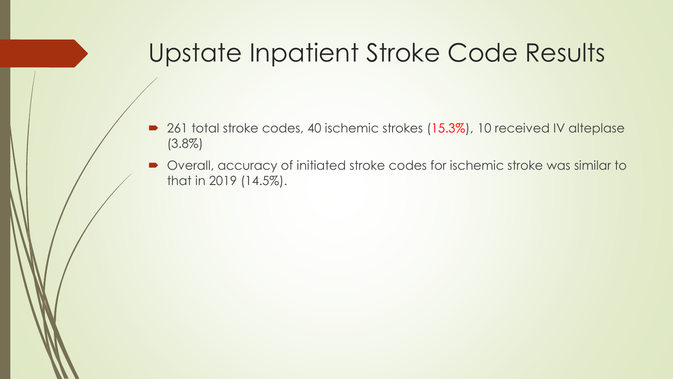### Upstate Inpatient Stroke Code Results

- 261 total stroke codes, 40 ischemic strokes (15.3%), 10 received IV alteplase (3.8%)
- Overall, accuracy of initiated stroke codes for ischemic stroke was similar to that in 2019 (14.5%).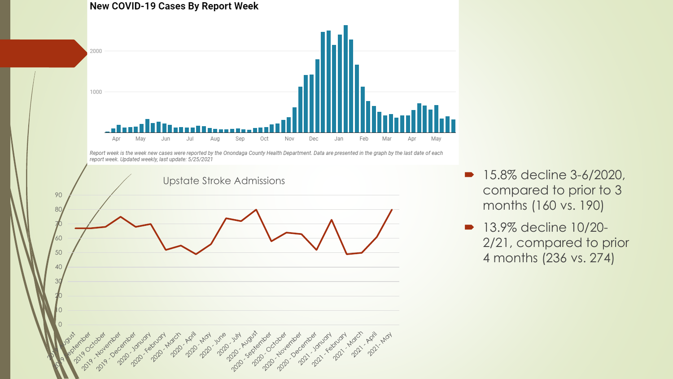

- **15.8% decline 3-6/2020,** compared to prior to 3 months (160 vs. 190)
- **13.9% decline 10/20-**2/21, compared to prior 4 months (236 vs. 274)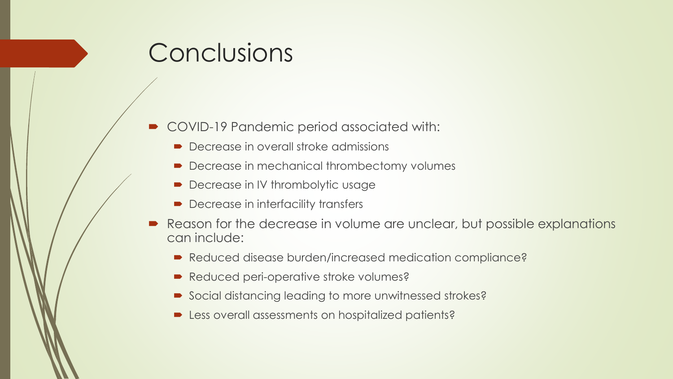#### **Conclusions**

- COVID-19 Pandemic period associated with:
	- Decrease in overall stroke admissions
	- Decrease in mechanical thrombectomy volumes
	- Decrease in IV thrombolytic usage
	- **Decrease in interfacility transfers**
- Reason for the decrease in volume are unclear, but possible explanations can include:
	- Reduced disease burden/increased medication compliance?
	- Reduced peri-operative stroke volumes?
	- Social distancing leading to more unwitnessed strokes?
	- **EXECUTE:** Less overall assessments on hospitalized patients?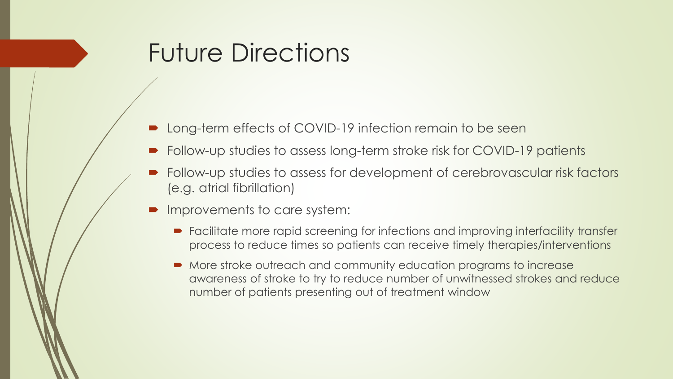### Future Directions

- Long-term effects of COVID-19 infection remain to be seen
- Follow-up studies to assess long-term stroke risk for COVID-19 patients
- Follow-up studies to assess for development of cerebrovascular risk factors (e.g. atrial fibrillation)
- Improvements to care system:
	- Facilitate more rapid screening for infections and improving interfacility transfer process to reduce times so patients can receive timely therapies/interventions
	- $\blacksquare$  More stroke outreach and community education programs to increase awareness of stroke to try to reduce number of unwitnessed strokes and reduce number of patients presenting out of treatment window